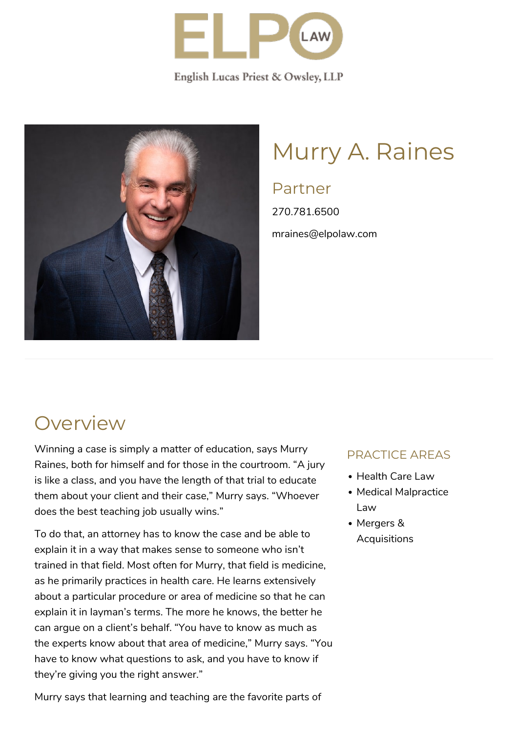

English Lucas Priest & Owsley, LLP



# Murry A. Raines

### Partner

270.781.6500 mraines@elpolaw.com

### **Overview**

Winning a case is simply a matter of education, says Murry Raines, both for himself and for those in the courtroom. "A jury is like a class, and you have the length of that trial to educate them about your client and their case," Murry says. "Whoever does the best teaching job usually wins."

To do that, an attorney has to know the case and be able to explain it in a way that makes sense to someone who isn't trained in that field. Most often for Murry, that field is medicine, as he primarily practices in health care. He learns extensively about a particular procedure or area of medicine so that he can explain it in layman's terms. The more he knows, the better he can argue on a client's behalf. "You have to know as much as the experts know about that area of medicine," Murry says. "You have to know what questions to ask, and you have to know if they're giving you the right answer."

Murry says that learning and teaching are the favorite parts of

#### PRACTICE AREAS

- Health Care Law
- Medical Malpractice Law
- Mergers & **Acquisitions**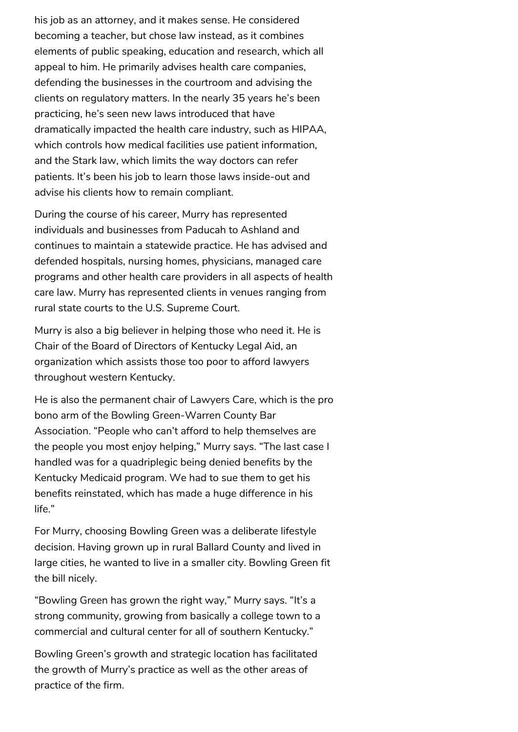his job as an attorney, and it makes sense. He considered becoming a teacher, but chose law instead, as it combines elements of public speaking, education and research, which all appeal to him. He primarily advises health care companies, defending the businesses in the courtroom and advising the clients on regulatory matters. In the nearly 35 years he's been practicing, he's seen new laws introduced that have dramatically impacted the health care industry, such as HIPAA, which controls how medical facilities use patient information, and the Stark law, which limits the way doctors can refer patients. It's been his job to learn those laws inside-out and advise his clients how to remain compliant.

During the course of his career, Murry has represented individuals and businesses from Paducah to Ashland and continues to maintain a statewide practice. He has advised and defended hospitals, nursing homes, physicians, managed care programs and other health care providers in all aspects of health care law. Murry has represented clients in venues ranging from rural state courts to the U.S. Supreme Court.

Murry is also a big believer in helping those who need it. He is Chair of the Board of Directors of Kentucky Legal Aid, an organization which assists those too poor to afford lawyers throughout western Kentucky.

He is also the permanent chair of Lawyers Care, which is the pro bono arm of the Bowling Green-Warren County Bar Association. "People who can't afford to help themselves are the people you most enjoy helping," Murry says. "The last case I handled was for a quadriplegic being denied benefits by the Kentucky Medicaid program. We had to sue them to get his benefits reinstated, which has made a huge difference in his life."

For Murry, choosing Bowling Green was a deliberate lifestyle decision. Having grown up in rural Ballard County and lived in large cities, he wanted to live in a smaller city. Bowling Green fit the bill nicely.

"Bowling Green has grown the right way," Murry says. "It's a strong community, growing from basically a college town to a commercial and cultural center for all of southern Kentucky."

Bowling Green's growth and strategic location has facilitated the growth of Murry's practice as well as the other areas of practice of the firm.